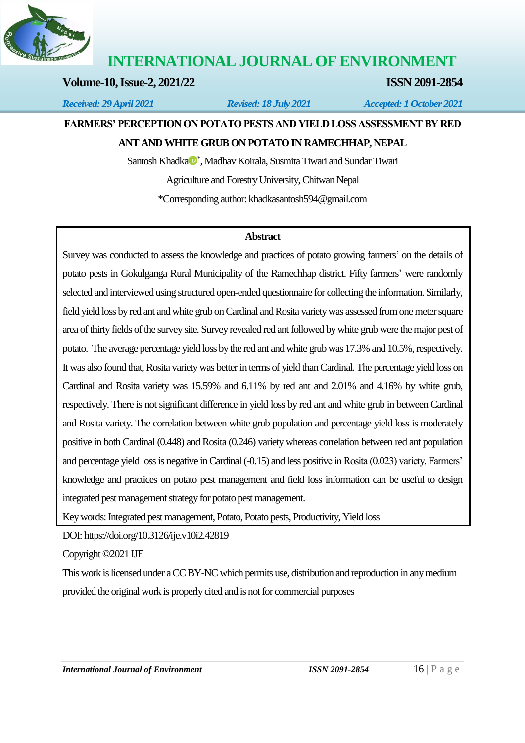

# **INTERNATIONAL JOURNAL OF ENVIRONMENT**

# **Volume-10, Issue-2, 2021/22 ISSN 2091-2854**

*Received: 29 April 2021 Revised: 18 July 2021 Accepted: 1 October 2021*

# **FARMERS' PERCEPTION ON POTATO PESTS AND YIELD LOSS ASSESSMENT BY RED ANT AND WHITE GRUB ON POTATO IN RAMECHHAP, NEPAL**

S[a](https://orcid.org/0000-0001-9297-9567)ntosh Khadka<sup>n</sup>, Madhav Koirala, Susmita Tiwari and Sundar Tiwari Agriculture and Forestry University, Chitwan Nepal \*Corresponding author[: khadkasantosh594@gmail.com](mailto:khadkasantosh594@gmail.com)

## **Abstract**

Survey was conducted to assess the knowledge and practices of potato growing farmers' on the details of potato pests in Gokulganga Rural Municipality of the Ramechhap district. Fifty farmers' were randomly selected and interviewed using structured open-ended questionnaire for collecting the information. Similarly, field yield loss by red ant and white grub on Cardinal and Rosita variety was assessed from onemeter square area of thirty fields of the survey site. Survey revealed red ant followed by white grub were the major pest of potato. The average percentage yield loss by the red ant and white grub was 17.3% and 10.5%, respectively. It was also found that, Rosita variety was better in terms of yield than Cardinal. The percentage yield loss on Cardinal and Rosita variety was 15.59% and 6.11% by red ant and 2.01% and 4.16% by white grub, respectively. There is not significant difference in yield loss by red ant and white grub in between Cardinal and Rosita variety. The correlation between white grub population and percentage yield loss is moderately positive in both Cardinal (0.448) and Rosita (0.246) variety whereas correlation between red ant population and percentage yield loss is negative in Cardinal (-0.15) and less positive in Rosita (0.023) variety. Farmers' knowledge and practices on potato pest management and field loss information can be useful to design integrated pest management strategy for potato pest management.

Key words: Integrated pest management, Potato, Potato pests, Productivity, Yield loss

DOI[: https://doi.org/10.3126/ije.v10i2.42819](https://doi.org/10.3126/ije.v10i2.42819) 

Copyright ©2021 IJE

This work is licensed under a CC BY-NC which permits use, distribution and reproduction in any medium provided the original work is properly cited and is not for commercial purposes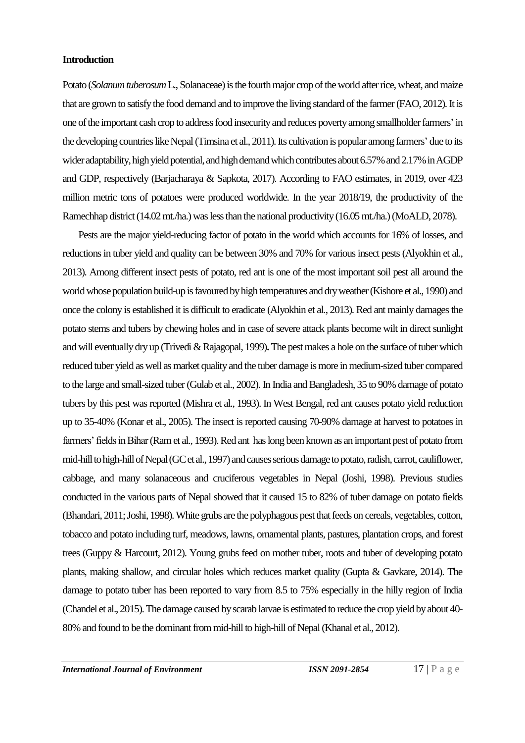#### **Introduction**

Potato (*Solanum tuberosum* L., Solanaceae) is the fourth major crop of the world after rice, wheat, and maize that are grown to satisfy the food demand and to improve the living standard of the farmer(FAO, 2012). It is one of the important cash crop to address food insecurity and reduces poverty among smallholder farmers'in the developing countries like Nepal (Timsina et al., 2011). Its cultivation is popular among farmers' due to its wider adaptability, high yield potential, and high demand which contributes about 6.57% and 2.17% in AGDP and GDP, respectively (Barjacharaya & Sapkota, 2017). According to FAO estimates, in 2019, over 423 million metric tons of potatoes were produced worldwide. In the year 2018/19, the productivity of the Ramechhap district (14.02 mt./ha.) was less than the national productivity (16.05 mt./ha.)(MoALD, 2078).

Pests are the major yield-reducing factor of potato in the world which accounts for 16% of losses, and reductions in tuber yield and quality can be between 30% and 70% for various insect pests(Alyokhin et al., 2013). Among different insect pests of potato, red ant is one of the most important soil pest all around the world whose population build-up is favoured by high temperatures and dry weather (Kishore et al., 1990) and once the colony is established it is difficult to eradicate (Alyokhin et al., 2013). Red ant mainly damages the potato stems and tubers by chewing holes and in case of severe attack plants become wilt in direct sunlight and will eventually dry up (Trivedi & Rajagopal, 1999)**.**The pest makes a hole on the surface of tuber which reduced tuber yield as well as market quality and the tuber damage is more in medium-sized tuber compared to the large and small-sized tuber(Gulab et al., 2002). In India and Bangladesh, 35 to 90% damage of potato tubers by this pest was reported (Mishra et al., 1993). In West Bengal, red ant causes potato yield reduction up to 35-40% (Konar et al., 2005). The insect is reported causing 70-90% damage at harvest to potatoes in farmers' fields in Bihar (Ram et al., 1993). Red ant has long been known as an important pest of potato from mid-hill to high-hill of Nepal (GC et al., 1997) and causes serious damage to potato, radish, carrot, cauliflower, cabbage, and many solanaceous and cruciferous vegetables in Nepal (Joshi, 1998). Previous studies conducted in the various parts of Nepal showed that it caused 15 to 82% of tuber damage on potato fields (Bhandari, 2011; Joshi, 1998). White grubs are the polyphagous pest that feeds on cereals, vegetables, cotton, tobacco and potato including turf, meadows, lawns, ornamental plants, pastures, plantation crops, and forest trees (Guppy & Harcourt, 2012). Young grubs feed on mother tuber, roots and tuber of developing potato plants, making shallow, and circular holes which reduces market quality (Gupta & Gavkare, 2014). The damage to potato tuber has been reported to vary from 8.5 to 75% especially in the hilly region of India (Chandel et al., 2015). The damage caused by scarab larvae is estimated to reduce the crop yield by about 40- 80% and found to be the dominant from mid-hill to high-hill of Nepal(Khanal et al., 2012).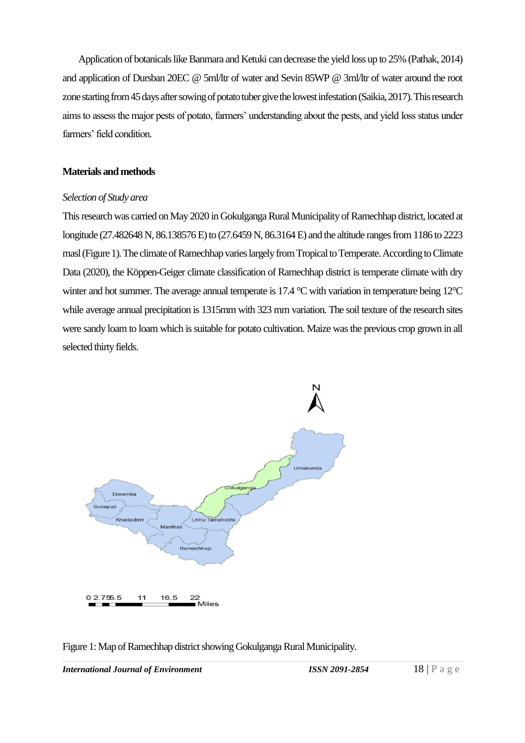Application of botanicals like Banmara and Ketuki can decrease the yield loss up to 25% (Pathak, 2014) and application of Dursban 20EC @ 5ml/ltr of water and Sevin 85WP @ 3ml/ltr of water around the root zone starting from 45 days after sowing of potato tuber give the lowest infestation(Saikia, 2017). This research aims to assess the major pests of potato, farmers' understanding about the pests, and yield loss status under farmers' field condition.

## **Materials and methods**

## *Selection of Study area*

This research was carried on May 2020 in Gokulganga Rural Municipality of Ramechhap district, located at longitude (27.482648 N, 86.138576 E) to (27.6459 N, 86.3164 E) and the altitude ranges from 1186 to 2223 masl(Figure 1).The climate of Ramechhap varies largely from Tropical to Temperate. According to Climate Data (2020), the Köppen-Geiger climate classification of Ramechhap district is temperate climate with dry winter and hot summer. The average annual temperate is 17.4 °C with variation in temperature being 12°C while average annual precipitation is 1315mm with 323 mm variation. The soil texture of the research sites were sandy loam to loam which is suitable for potato cultivation. Maize was the previous crop grown in all selected thirty fields.



Figure 1: Map of Ramechhap district showing Gokulganga Rural Municipality.

*International Journal of Environment ISSN 2091-2854* 18 | P a g e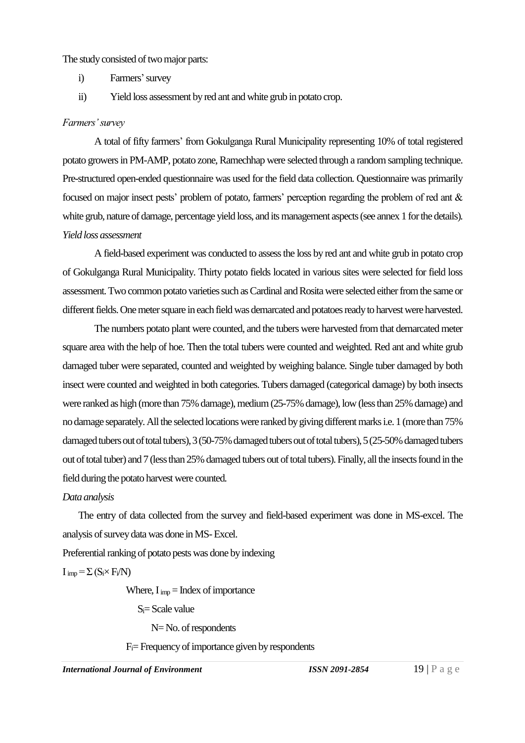#### The study consisted of two major parts:

- i) Farmers'survey
- ii) Yield loss assessment byred ant and white grub in potato crop.

### *Farmers' survey*

A total of fifty farmers' from Gokulganga Rural Municipality representing 10% of total registered potato growers in PM-AMP, potato zone, Ramechhap were selected through a random sampling technique. Pre-structured open-ended questionnaire was used for the field data collection. Questionnaire was primarily focused on major insect pests' problem of potato, farmers' perception regarding the problem of red ant & white grub, nature of damage, percentage yield loss, and its management aspects (see annex 1 for the details). *Yield loss assessment* 

A field-based experiment was conducted to assess the loss by red ant and white grub in potato crop of Gokulganga Rural Municipality. Thirty potato fields located in various sites were selected for field loss assessment. Two common potato varieties such as Cardinal and Rosita were selected either from the same or different fields. One meter square in each field was demarcated and potatoes ready to harvest were harvested.

The numbers potato plant were counted, and the tubers were harvested from that demarcated meter square area with the help of hoe. Then the total tubers were counted and weighted. Red ant and white grub damaged tuber were separated, counted and weighted by weighing balance. Single tuber damaged by both insect were counted and weighted in both categories. Tubers damaged (categorical damage) by both insects were ranked as high (more than 75% damage), medium(25-75% damage), low(less than 25% damage) and no damage separately. All the selected locations were ranked by giving different marks i.e. 1 (more than 75% damaged tubers out of total tubers), 3 (50-75% damaged tubers out of total tubers), 5 (25-50% damaged tubers out of total tuber) and 7 (less than 25% damaged tubers out of total tubers). Finally, all the insects found in the field during the potato harvest were counted.

## *Data analysis*

The entry of data collected from the survey and field-based experiment was done in MS-excel. The analysis of survey data was done in MS-Excel.

Preferential ranking of potato pests was done by indexing

 $I_{imp} = \sum (S_i \times F_i/N)$ 

Where,  $I_{imp} = Index\ of\ importance$ 

 $S_i = S$ cale value

N= No. of respondents

 $F_i$ = Frequency of importance given by respondents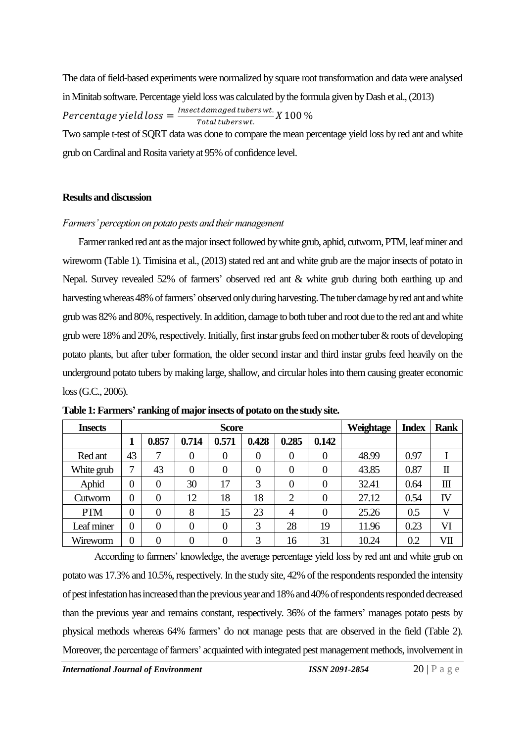The data of field-based experiments were normalized by square root transformation and data were analysed in Minitab software. Percentage yield loss was calculated by the formula given by Dash et al.,(2013) Percentage yield  $loss = \frac{Insect \, damped \, tubes}{Total \, test}$ *caamaged cabers wt.*<br>Total tubers wt. X 100 %

Two sample t-test of SQRT data was done to compare the mean percentage yield loss by red ant and white grub on Cardinal and Rosita variety at 95% of confidence level.

#### **Results and discussion**

#### *Farmers' perception on potato pests and their management*

Farmer ranked red ant as the major insect followed by white grub, aphid, cutworm, PTM, leaf miner and wireworm (Table 1). Timisina et al., (2013) stated red ant and white grub are the major insects of potato in Nepal. Survey revealed 52% of farmers' observed red ant & white grub during both earthing up and harvesting whereas 48% of farmers' observed only during harvesting. The tuber damage by red ant and white grub was 82% and 80%, respectively. In addition, damage to both tuber and root due to the red ant and white grub were 18% and 20%, respectively. Initially, first instar grubs feed on mother tuber  $\&$  roots of developing potato plants, but after tuber formation, the older second instar and third instar grubs feed heavily on the underground potato tubers by making large, shallow, and circular holes into them causing greater economic loss(G.C., 2006).

| <b>Insects</b> |    | <b>Score</b>   |                |                |                |       |       | Weightage | <b>Index</b> | <b>Rank</b>  |
|----------------|----|----------------|----------------|----------------|----------------|-------|-------|-----------|--------------|--------------|
|                |    | 0.857          | 0.714          | 0.571          | 0.428          | 0.285 | 0.142 |           |              |              |
| Red ant        | 43 | 7              | $\overline{0}$ | $\overline{0}$ | $\theta$       |       | 0     | 48.99     | 0.97         |              |
| White grub     | 7  | 43             | $\overline{0}$ | $\overline{0}$ | $\overline{0}$ |       | 0     | 43.85     | 0.87         | $\mathbf I$  |
| Aphid          | 0  | $\overline{0}$ | 30             | 17             | 3              |       | 0     | 32.41     | 0.64         | $\mathbf{m}$ |
| Cutworm        | 0  | $\overline{0}$ | 12             | 18             | 18             | っ     | 0     | 27.12     | 0.54         | IV           |
| <b>PTM</b>     | 0  | $\theta$       | 8              | 15             | 23             | 4     | 0     | 25.26     | 0.5          | V            |
| Leaf miner     | 0  | 0              | 0              | $\overline{0}$ | 3              | 28    | 19    | 11.96     | 0.23         | VI           |
| Wireworm       | 0  | 0              | $\overline{0}$ | $\overline{0}$ | 3              | 16    | 31    | 10.24     | 0.2          | VII          |

| Table 1: Farmers' ranking of major insects of potato on the study site. |  |  |
|-------------------------------------------------------------------------|--|--|

According to farmers' knowledge, the average percentage yield loss by red ant and white grub on potato was 17.3% and 10.5%, respectively. In the study site, 42% of the respondents responded the intensity of pest infestation has increased than the previous year and 18% and 40% of respondents responded decreased than the previous year and remains constant, respectively. 36% of the farmers' manages potato pests by physical methods whereas 64% farmers' do not manage pests that are observed in the field (Table 2). Moreover, the percentage of farmers' acquainted with integrated pest management methods, involvement in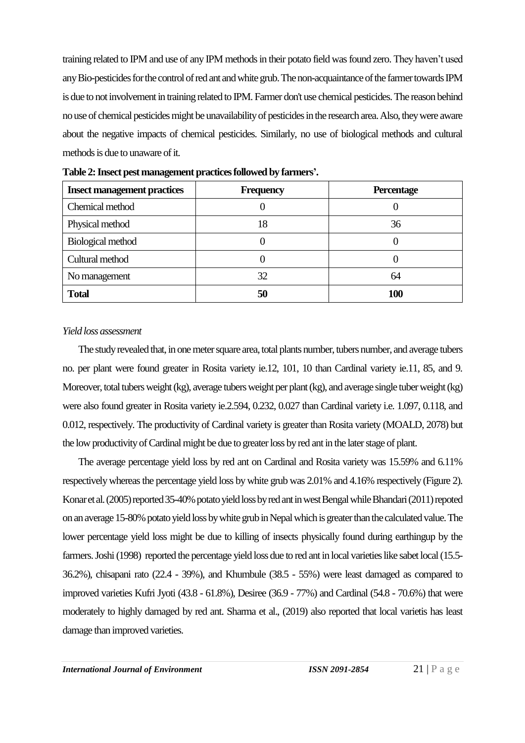training related to IPM and use of any IPM methods in their potato field was found zero. They haven't used any Bio-pesticides for the control of red ant and white grub. The non-acquaintance of the farmer towards IPM is due to not involvement in training related to IPM. Farmer don't use chemical pesticides. The reason behind no use of chemical pesticides might be unavailability of pesticides in the research area. Also, they were aware about the negative impacts of chemical pesticides. Similarly, no use of biological methods and cultural methods is due to unaware of it.

| <b>Insect management practices</b> | <b>Frequency</b> | <b>Percentage</b> |
|------------------------------------|------------------|-------------------|
| Chemical method                    |                  |                   |
| Physical method                    | 18               | 36                |
| <b>Biological method</b>           |                  |                   |
| Cultural method                    |                  |                   |
| No management                      | 32               | 64                |
| <b>Total</b>                       | 50               | 100               |

**Table 2: Insect pest management practices followed by farmers'.**

#### *Yield loss assessment*

The study revealed that, in one meter square area, total plants number, tubers number, and average tubers no. per plant were found greater in Rosita variety ie.12, 101, 10 than Cardinal variety ie.11, 85, and 9. Moreover, total tubers weight (kg), average tubers weight per plant (kg), and average single tuber weight (kg) were also found greater in Rosita variety ie.2.594, 0.232, 0.027 than Cardinal variety i.e. 1.097, 0.118, and 0.012, respectively. The productivity of Cardinal variety is greater than Rosita variety (MOALD, 2078) but the low productivity of Cardinal might be due to greater loss by red ant in the later stage of plant.

The average percentage yield loss by red ant on Cardinal and Rosita variety was 15.59% and 6.11% respectively whereas the percentage yield loss by white grub was 2.01% and 4.16% respectively (Figure 2). Konar et al. (2005) reported 35-40% potato yield loss by red ant in west Bengal while Bhandari (2011) repoted on an average 15-80% potato yield loss by white grub in Nepal which is greaterthan the calculated value. The lower percentage yield loss might be due to killing of insects physically found during earthingup by the farmers. Joshi (1998) reported the percentage yield loss due to red ant in local varieties like sabet local (15.5- 36.2%), chisapani rato (22.4 - 39%), and Khumbule (38.5 - 55%) were least damaged as compared to improved varieties Kufri Jyoti (43.8 - 61.8%), Desiree (36.9 - 77%) and Cardinal (54.8 - 70.6%) that were moderately to highly damaged by red ant. Sharma et al., (2019) also reported that local varietis has least damage than improved varieties.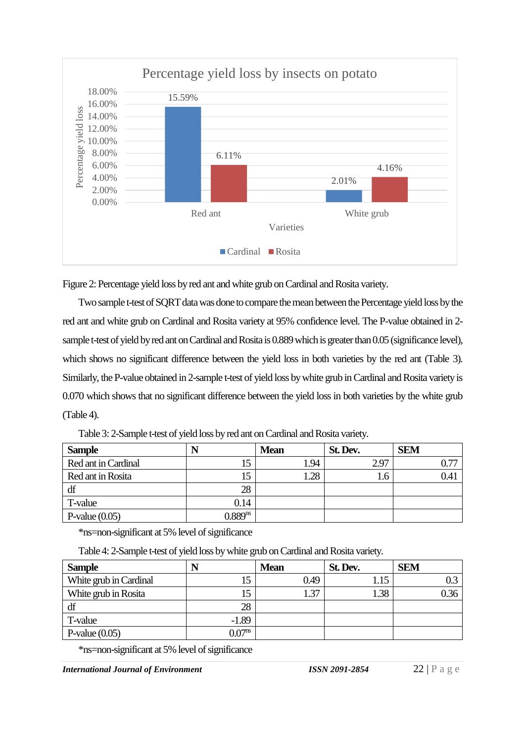

Figure 2: Percentage yield loss by red ant and white grub on Cardinal and Rosita variety.

Two sample t-test of SQRT data was done to compare the mean between the Percentage yield loss by the red ant and white grub on Cardinal and Rosita variety at 95% confidence level. The P-value obtained in 2 sample t-test of yield by red ant on Cardinal and Rosita is 0.889 which is greater than 0.05 (significance level), which shows no significant difference between the yield loss in both varieties by the red ant (Table 3). Similarly, the P-value obtained in 2-sample t-test of yield loss by white grub in Cardinal and Rosita variety is 0.070 which shows that no significant difference between the yield loss in both varieties by the white grub (Table 4).

| <b>Sample</b>       | N            | <b>Mean</b> | St. Dev. | <b>SEM</b> |
|---------------------|--------------|-------------|----------|------------|
| Red ant in Cardinal | 15           | 1.94        | 2.97     | 0.77       |
| Red ant in Rosita   | 15           | 1.28        | - 6.     | 0.41       |
| df                  | 28           |             |          |            |
| T-value             | 0.14         |             |          |            |
| P-value $(0.05)$    | $0.889^{ns}$ |             |          |            |

Table 3: 2-Sample t-test of yield loss by red ant on Cardinal and Rosita variety.

\*ns=non-significant at 5% level of significance

Table 4: 2-Sample t-test of yield loss by white grub on Cardinal and Rosita variety.

| <b>Sample</b>          | N                  | <b>Mean</b> | St. Dev. | <b>SEM</b> |
|------------------------|--------------------|-------------|----------|------------|
| White grub in Cardinal | 15                 | 0.49        | 1.15     |            |
| White grub in Rosita   | 15                 | 1.37        | 1.38     | 0.36       |
| df                     | 28                 |             |          |            |
| T-value                | $-1.89$            |             |          |            |
| P-value $(0.05)$       | 0.07 <sup>ns</sup> |             |          |            |

\*ns=non-significant at 5% level of significance

*International Journal of Environment ISSN 2091-2854* 22 | P a g e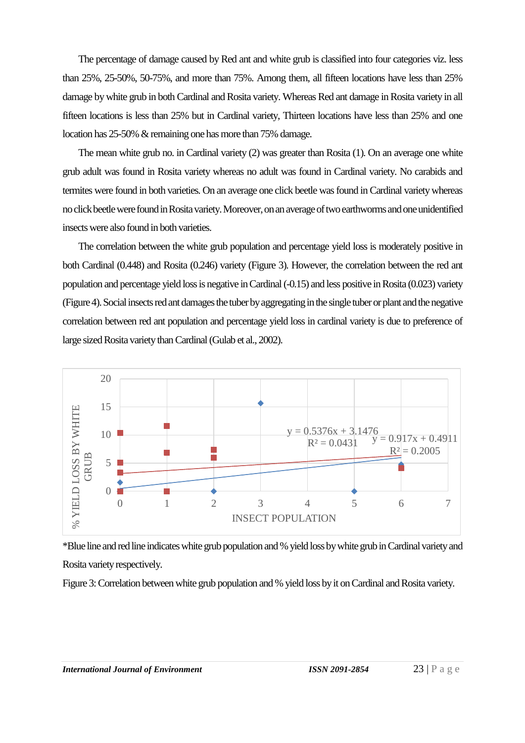The percentage of damage caused by Red ant and white grub is classified into four categories viz. less than 25%, 25-50%, 50-75%, and more than 75%. Among them, all fifteen locations have less than 25% damage by white grub in both Cardinal and Rosita variety. Whereas Red ant damage in Rosita variety in all fifteen locations is less than 25% but in Cardinal variety, Thirteen locations have less than 25% and one location has 25-50% & remaining one has more than 75% damage.

The mean white grub no. in Cardinal variety (2) was greater than Rosita (1). On an average one white grub adult was found in Rosita variety whereas no adult was found in Cardinal variety. No carabids and termites were found in both varieties. On an average one click beetle was found in Cardinal variety whereas no click beetle were found in Rosita variety. Moreover, on an average of two earthworms and one unidentified insects were also found in both varieties.

The correlation between the white grub population and percentage yield loss is moderately positive in both Cardinal (0.448) and Rosita (0.246) variety (Figure 3). However, the correlation between the red ant population and percentage yield loss is negative in Cardinal(-0.15) and less positive in Rosita (0.023) variety (Figure 4).Social insects red ant damages the tuber by aggregating in the single tuber or plant and the negative correlation between red ant population and percentage yield loss in cardinal variety is due to preference of large sized Rosita variety than Cardinal (Gulab et al., 2002).



\*Blue line and red line indicates white grub population and % yield loss by white grub in Cardinal variety and Rosita variety respectively.

Figure 3: Correlation between white grub population and % yield loss by it on Cardinal and Rosita variety.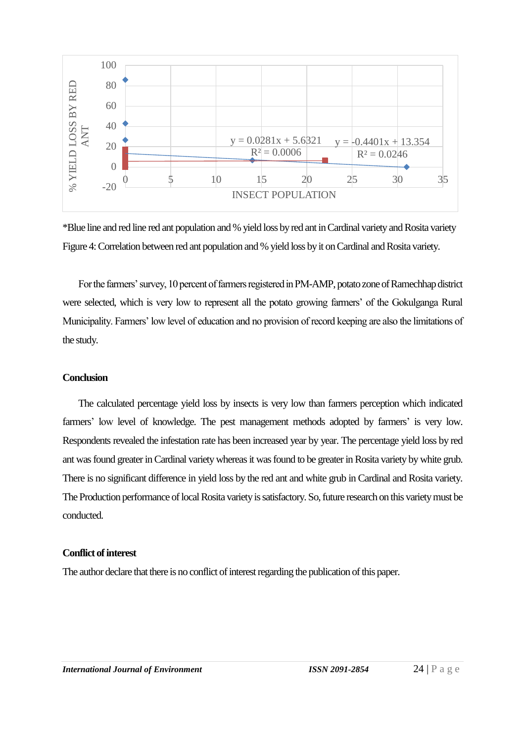

\*Blue line and red line red ant population and % yield loss by red ant in Cardinal variety and Rosita variety Figure 4: Correlation between red ant population and % yield loss by it on Cardinal and Rosita variety.

For the farmers' survey, 10 percent of farmers registered in PM-AMP, potato zone of Ramechhap district were selected, which is very low to represent all the potato growing farmers' of the Gokulganga Rural Municipality. Farmers' low level of education and no provision of record keeping are also the limitations of the study.

## **Conclusion**

The calculated percentage yield loss by insects is very low than farmers perception which indicated farmers' low level of knowledge. The pest management methods adopted by farmers' is very low. Respondents revealed the infestation rate has been increased year by year. The percentage yield loss by red ant was found greater in Cardinal variety whereas it was found to be greater in Rosita variety by white grub. There is no significant difference in yield loss by the red ant and white grub in Cardinal and Rosita variety. The Production performance of local Rosita variety is satisfactory. So, future research on this variety must be conducted.

#### **Conflict of interest**

The author declare that there is no conflict of interest regarding the publication of this paper.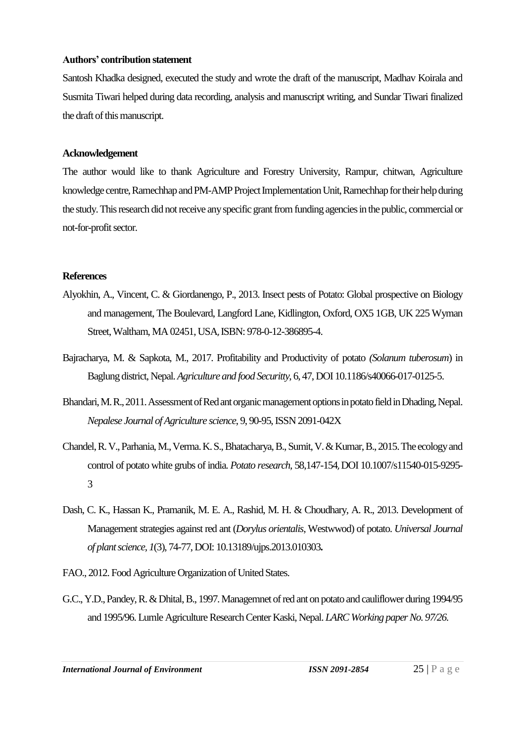#### **Authors' contribution statement**

Santosh Khadka designed, executed the study and wrote the draft of the manuscript, Madhav Koirala and Susmita Tiwari helped during data recording, analysis and manuscript writing, and Sundar Tiwari finalized the draft of this manuscript.

## **Acknowledgement**

The author would like to thank Agriculture and Forestry University, Rampur, chitwan, Agriculture knowledge centre, Ramechhap and PM-AMP Project Implementation Unit, Ramechhap for their help during the study. This research did not receive any specific grant from funding agencies in the public, commercial or not-for-profit sector.

# **References**

- Alyokhin, A., Vincent, C. & Giordanengo, P., 2013. Insect pests of Potato: Global prospective on Biology and management, The Boulevard, Langford Lane, Kidlington, Oxford, OX5 1GB, UK 225 Wyman Street, Waltham, MA 02451, USA, ISBN: 978-0-12-386895-4.
- Bajracharya, M. & Sapkota, M., 2017. Profitability and Productivity of potato *(Solanum tuberosum*) in Baglung district, Nepal. *Agriculture and food Securitty*, 6, 47,DOI 10.1186/s40066-017-0125-5.
- Bhandari, M.R., 2011. Assessment of Red ant organic management options in potato field in Dhading, Nepal. *Nepalese Journal of Agriculture science*, 9, 90-95, ISSN 2091-042X
- Chandel, R. V., Parhania, M., Verma. K. S., Bhatacharya, B., Sumit, V.& Kumar, B., 2015. The ecology and control of potato white grubs of india. *Potato research,* 58,147-154, DOI 10.1007/s11540-015-9295- 3
- Dash, C. K., Hassan K., Pramanik, M. E. A., Rashid, M. H. & Choudhary, A. R., 2013. Development of Management strategies against red ant (*Dorylus orientalis*, Westwwod) of potato. *Universal Journal of plant science, 1*(3), 74-77, DOI: 10.13189/ujps.2013.010303**.**
- FAO., 2012. Food Agriculture Organization of United States.
- G.C., Y.D.,Pandey, R. & Dhital, B., 1997. Managemnet of red ant on potato and cauliflower during 1994/95 and 1995/96. Lumle Agriculture Research Center Kaski, Nepal. *LARC Working paper No. 97/26*.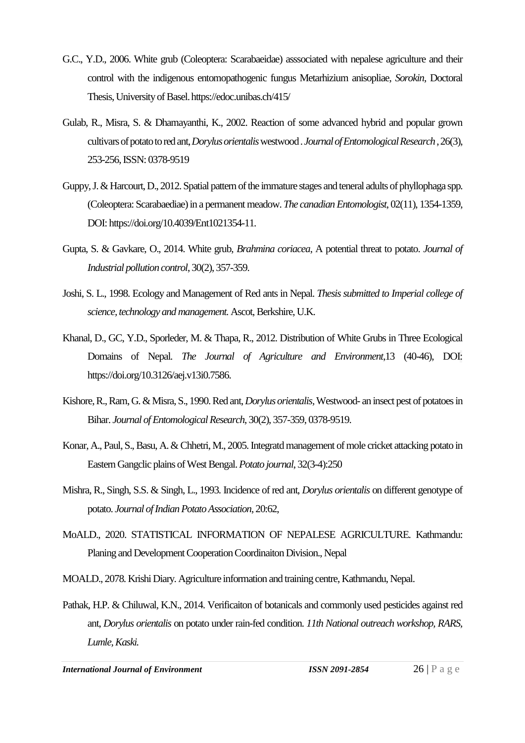- G.C., Y.D., 2006. White grub (Coleoptera: Scarabaeidae) asssociated with nepalese agriculture and their control with the indigenous entomopathogenic fungus Metarhizium anisopliae, *Sorokin*, Doctoral Thesis, University of Basel.https://edoc.unibas.ch/415/
- Gulab, R., Misra, S. & Dhamayanthi, K., 2002. Reaction of some advanced hybrid and popular grown cultivars of potato to red ant, *Dorylus orientalis*westwood . *Journal of Entomological Research* , 26(3), 253-256, ISSN: 0378-9519
- Guppy, J. & Harcourt, D., 2012. Spatial pattern of the immature stages and teneral adults of phyllophaga spp. (Coleoptera: Scarabaediae) in a permanent meadow. *The canadian Entomologist*, 02(11), 1354-1359, DOI: [https://doi.org/10.4039/Ent1021354-11.](https://doi.org/10.4039/Ent1021354-11)
- Gupta, S. & Gavkare, O., 2014. White grub, *Brahmina coriacea*, A potential threat to potato. *Journal of Industrial pollution control*, 30(2), 357-359.
- Joshi, S. L., 1998. Ecology and Management of Red ants in Nepal. *Thesis submitted to Imperial college of science, technology and management.* Ascot, Berkshire, U.K.
- Khanal, D., GC, Y.D., Sporleder, M. & Thapa, R., 2012. Distribution of White Grubs in Three Ecological Domains of Nepal. *The Journal of Agriculture and Environment*,13 (40-46), DOI: [https://doi.org/10.3126/aej.v13i0.7586.](https://doi.org/10.3126/aej.v13i0.7586)
- Kishore, R.,Ram, G. & Misra, S., 1990. Red ant, *Dorylus orientalis,*Westwood- an insect pest of potatoes in Bihar. *Journal of Entomological Research*, 30(2), 357-359, 0378-9519.
- Konar, A., Paul, S., Basu, A. & Chhetri, M., 2005. Integratd management of mole cricket attacking potato in Eastern Gangclic plains of West Bengal. *Potato journal*, 32(3-4):250
- Mishra, R., Singh, S.S. & Singh, L., 1993. Incidence of red ant, *Dorylus orientalis* on different genotype of potato. *Journal of Indian Potato Association*, 20:62,
- MoALD., 2020. STATISTICAL INFORMATION OF NEPALESE AGRICULTURE*.* Kathmandu: Planing and Development Cooperation Coordinaiton Division., Nepal

MOALD., 2078. Krishi Diary. Agriculture information and training centre, Kathmandu, Nepal.

Pathak, H.P. & Chiluwal, K.N., 2014. Verificaiton of botanicals and commonly used pesticides against red ant, *Dorylus orientalis* on potato under rain-fed condition. *11th National outreach workshop, RARS, Lumle, Kaski.*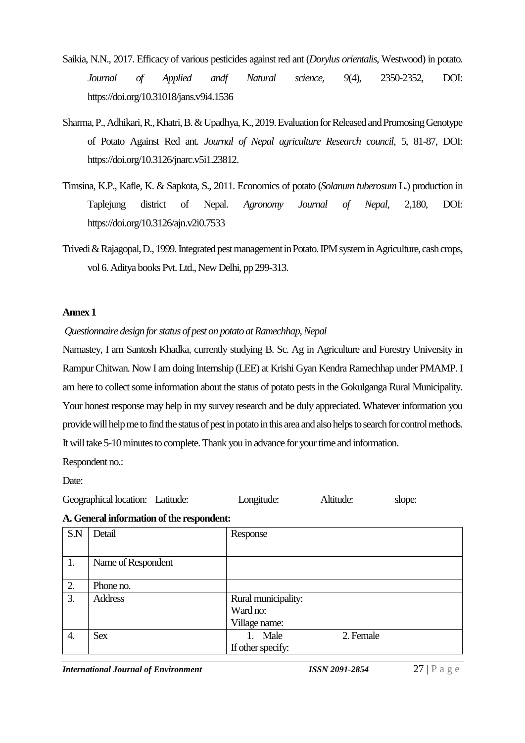- Saikia, N.N., 2017. Efficacy of various pesticides against red ant (*Dorylus orientalis*, Westwood) in potato. *Journal of Applied andf Natural science, 9*(4), 2350-2352, DOI: https://doi.org/10.31018/jans.v9i4.1536
- Sharma, P.,Adhikari, R.,Khatri, B. & Upadhya, K., 2019. Evaluation for Released and Promosing Genotype of Potato Against Red ant. *Journal of Nepal agriculture Research council*, 5, 81-87, DOI: https://doi.org/10.3126/jnarc.v5i1.23812.
- Timsina, K.P., Kafle, K. & Sapkota, S., 2011. Economics of potato (*Solanum tuberosum* L.) production in Taplejung district of Nepal. *Agronomy Journal of Nepal,* 2,180, DOI: https://doi.org/10.3126/ajn.v2i0.7533
- Trivedi & Rajagopal,D., 1999. Integrated pest management in Potato. IPM system in Agriculture, cash crops, vol 6. Aditya books Pvt. Ltd., New Delhi, pp 299-313.

## **Annex 1**

# *Questionnaire design for status of pest on potato at Ramechhap, Nepal*

Namastey, I am Santosh Khadka, currently studying B. Sc. Ag in Agriculture and Forestry University in Rampur Chitwan. Now I am doing Internship (LEE) at Krishi Gyan Kendra Ramechhap under PMAMP. I am here to collect some information about the status of potato pests in the Gokulganga Rural Municipality. Your honest response may help in my survey research and be duly appreciated. Whatever information you provide will help me to find the status of pest in potato in this area and also helps to search for control methods. It will take 5-10 minutes to complete. Thank you in advance for your time and information.

Respondent no.:

Date:

## **A. General information of the respondent:**

| S.N              | Detail             | Response             |  |  |  |
|------------------|--------------------|----------------------|--|--|--|
|                  |                    |                      |  |  |  |
| 1.               | Name of Respondent |                      |  |  |  |
|                  |                    |                      |  |  |  |
| 2.               | Phone no.          |                      |  |  |  |
| 3.               | <b>Address</b>     | Rural municipality:  |  |  |  |
|                  |                    | Ward no:             |  |  |  |
|                  |                    | Village name:        |  |  |  |
| $\overline{4}$ . | <b>Sex</b>         | 2. Female<br>1. Male |  |  |  |
|                  |                    | If other specify:    |  |  |  |

*International Journal of Environment ISSN 2091-2854* 27 | P a g e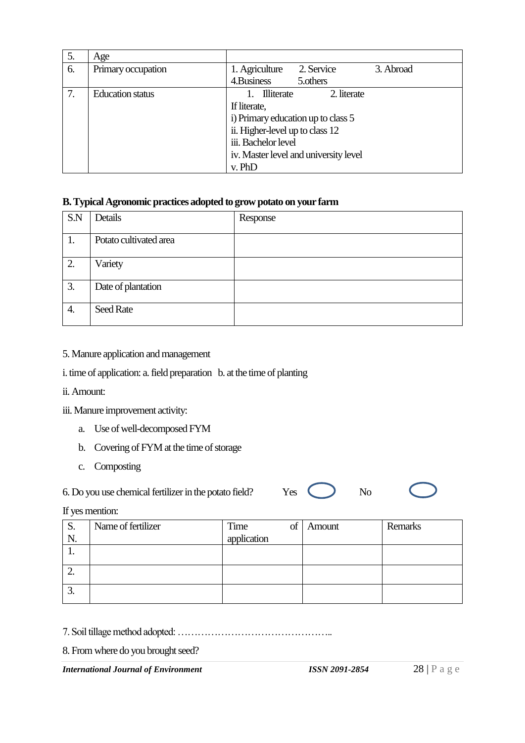| 5. | Age                     |                                           |  |  |  |
|----|-------------------------|-------------------------------------------|--|--|--|
| 6. | Primary occupation      | 1. Agriculture<br>2. Service<br>3. Abroad |  |  |  |
|    |                         | 4. Business<br>5.others                   |  |  |  |
| 7. | <b>Education status</b> | <b>Illiterate</b><br>2. literate          |  |  |  |
|    |                         | If literate,                              |  |  |  |
|    |                         | i) Primary education up to class 5        |  |  |  |
|    |                         | ii. Higher-level up to class 12           |  |  |  |
|    |                         | iii. Bachelor level                       |  |  |  |
|    |                         | iv. Master level and university level     |  |  |  |
|    |                         | v. PhD                                    |  |  |  |

# **B. Typical Agronomic practices adopted to grow potato on your farm**

| S.N | Details                | Response |
|-----|------------------------|----------|
| 1.  | Potato cultivated area |          |
| 2.  | Variety                |          |
| 3.  | Date of plantation     |          |
| 4.  | Seed Rate              |          |

- 5. Manure application and management
- i. time of application: a. field preparation b. at the time of planting
- ii. Amount:
- iii. Manure improvement activity:
	- a. Use of well-decomposed FYM
	- b. Covering of FYM at the time of storage
	- c. Composting

6. Do you use chemical fertilizer in the potato field? Yes No

If yes mention:

| S.  | Name of fertilizer | Time<br>of  | Amount | Remarks |
|-----|--------------------|-------------|--------|---------|
|     |                    | application |        |         |
| . . |                    |             |        |         |
|     |                    |             |        |         |
| ∼.  |                    |             |        |         |
|     |                    |             |        |         |
| J.  |                    |             |        |         |

7. Soil tillage method adopted: ………………………………………..

8. From where do you brought seed?

*International Journal of Environment ISSN 2091-2854* 28 | P a g e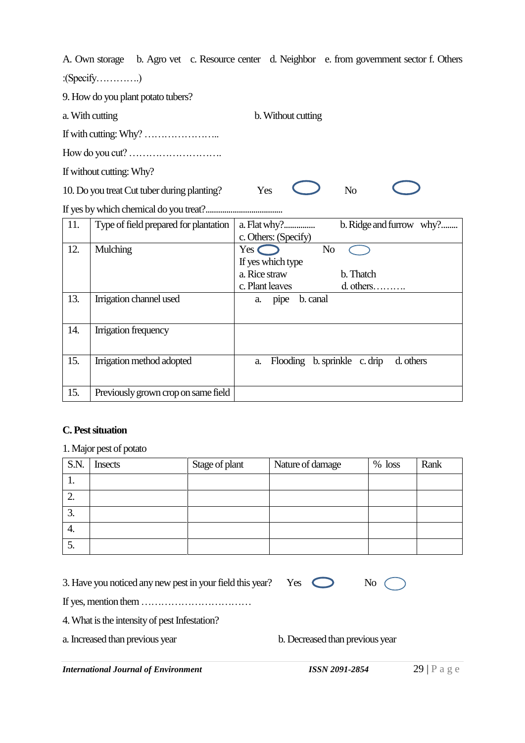A. Own storage b. Agro vet c. Resource center d. Neighbor e. from government sector f. Others

:(Specify………….)

9. How do you plant potato tubers?

a. With cutting b. Without cutting

If with cutting: Why? …………………..

How do you cut? ……………………….

If without cutting: Why?

10. Do you treat Cut tuber during planting? Yes No

If yes by which chemical do you treat?.....................................

| 11. | Type of field prepared for plantation | a. Flat why?                       | b. Ridge and furrow why? |
|-----|---------------------------------------|------------------------------------|--------------------------|
|     |                                       | c. Others: (Specify)               |                          |
| 12. | Mulching                              | Yes (<br>N <sub>o</sub>            |                          |
|     |                                       | If yes which type                  |                          |
|     |                                       | a. Rice straw                      | b. Thatch                |
|     |                                       | c. Plant leaves                    | $d.$ others              |
| 13. | Irrigation channel used               | b. canal<br>pipe<br>a.             |                          |
|     |                                       |                                    |                          |
| 14. | Irrigation frequency                  |                                    |                          |
|     |                                       |                                    |                          |
| 15. | Irrigation method adopted             | Flooding b. sprinkle c. drip<br>a. | d. others                |
|     |                                       |                                    |                          |
|     |                                       |                                    |                          |
| 15. | Previously grown crop on same field   |                                    |                          |

# **C. Pest situation**

# 1. Major pest of potato

| S.N. | <b>Insects</b> | Stage of plant | Nature of damage | $%$ loss | Rank |
|------|----------------|----------------|------------------|----------|------|
| . .  |                |                |                  |          |      |
| ∠.   |                |                |                  |          |      |
| J.   |                |                |                  |          |      |
| 4.   |                |                |                  |          |      |
| J.   |                |                |                  |          |      |

| 3. Have you noticed any new pest in your field this year? Yes $\bigcirc$ |  |  | No $\bigcirc$ |
|--------------------------------------------------------------------------|--|--|---------------|
|--------------------------------------------------------------------------|--|--|---------------|

If yes, mention them ……………………………

4. What is the intensity of pest Infestation?

a. Increased than previous year

| b. Decreased than previous year |
|---------------------------------|
|---------------------------------|

*International Journal of Environment ISSN 2091-2854* 29 | P a g e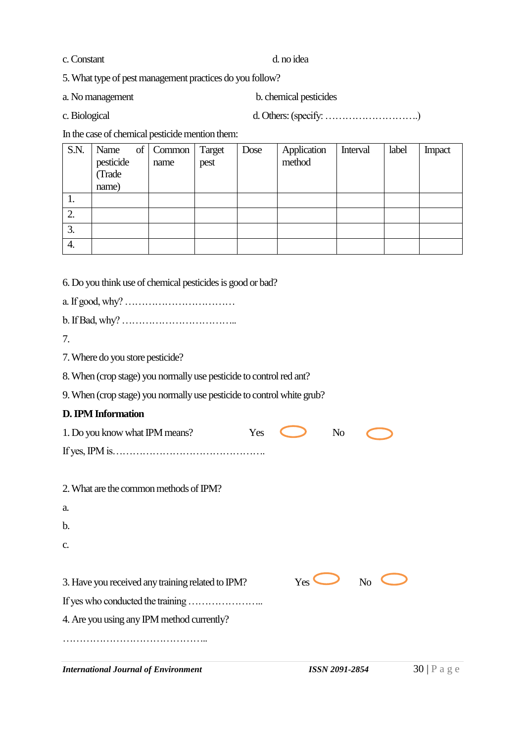c. Constant d. no idea

5. What type of pest management practices do you follow?

a. No management b. chemical pesticides

c. Biological d.Others: (specify: ……………………….)

In the case of chemical pesticide mention them:

| S.N. | Name                | of   Common   Target<br>name | pest | Dose | Application<br>method | Interval | label | Impact |
|------|---------------------|------------------------------|------|------|-----------------------|----------|-------|--------|
|      | pesticide<br>(Trade |                              |      |      |                       |          |       |        |
|      | name)               |                              |      |      |                       |          |       |        |
|      |                     |                              |      |      |                       |          |       |        |
| Ι.   |                     |                              |      |      |                       |          |       |        |
| 2.   |                     |                              |      |      |                       |          |       |        |
| 3.   |                     |                              |      |      |                       |          |       |        |
| 4.   |                     |                              |      |      |                       |          |       |        |

6. Do you think use of chemical pesticides is good or bad?

a. If good, why? ……………………………

b. If Bad, why? ……………………………..

7.

7. Where do you store pesticide?

8. When (crop stage) you normally use pesticide to control red ant?

9. When (crop stage) you normally use pesticide to control white grub?

# **D.IPM Information**

| 1. Do you know what IPM means?                    | Yes |              | N <sub>o</sub> |    |  |
|---------------------------------------------------|-----|--------------|----------------|----|--|
|                                                   |     |              |                |    |  |
|                                                   |     |              |                |    |  |
| 2. What are the common methods of IPM?            |     |              |                |    |  |
| a.                                                |     |              |                |    |  |
| b.                                                |     |              |                |    |  |
| C.                                                |     |              |                |    |  |
|                                                   |     |              |                |    |  |
| 3. Have you received any training related to IPM? |     | $Yes \qquad$ |                | No |  |
|                                                   |     |              |                |    |  |
| 4. Are you using any IPM method currently?        |     |              |                |    |  |

……………………………………..

*International Journal of Environment ISSN 2091-2854* 30 | P a g e